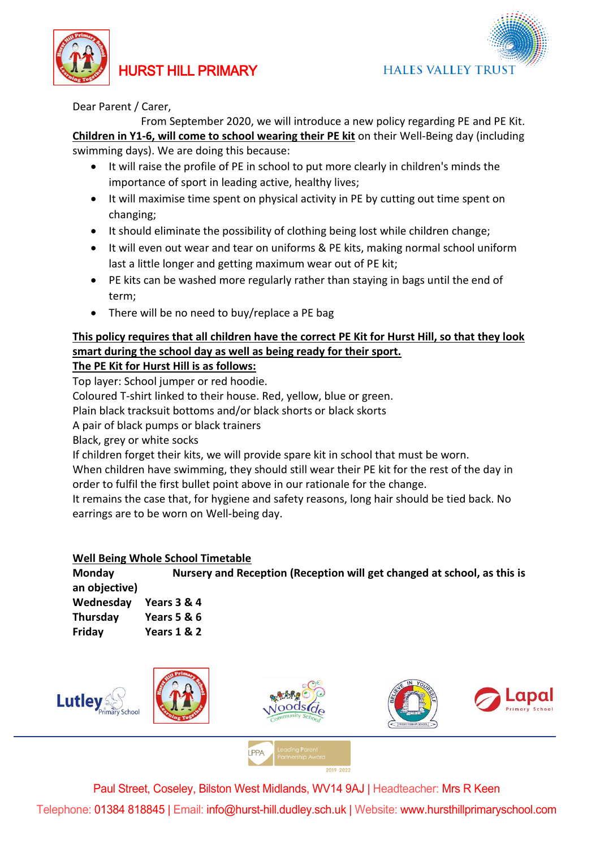



Dear Parent / Carer,

 From September 2020, we will introduce a new policy regarding PE and PE Kit. **Children in Y1-6, will come to school wearing their PE kit** on their Well-Being day (including swimming days). We are doing this because:

- It will raise the profile of PE in school to put more clearly in children's minds the importance of sport in leading active, healthy lives;
- It will maximise time spent on physical activity in PE by cutting out time spent on changing;
- It should eliminate the possibility of clothing being lost while children change;
- It will even out wear and tear on uniforms & PE kits, making normal school uniform last a little longer and getting maximum wear out of PE kit;
- PE kits can be washed more regularly rather than staying in bags until the end of term;
- There will be no need to buy/replace a PE bag

## **This policy requires that all children have the correct PE Kit for Hurst Hill, so that they look smart during the school day as well as being ready for their sport.**

**The PE Kit for Hurst Hill is as follows:**

Top layer: School jumper or red hoodie.

Coloured T-shirt linked to their house. Red, yellow, blue or green.

Plain black tracksuit bottoms and/or black shorts or black skorts

A pair of black pumps or black trainers

Black, grey or white socks

If children forget their kits, we will provide spare kit in school that must be worn.

When children have swimming, they should still wear their PE kit for the rest of the day in order to fulfil the first bullet point above in our rationale for the change.

It remains the case that, for hygiene and safety reasons, long hair should be tied back. No earrings are to be worn on Well-being day.

## **Well Being Whole School Timetable**

**Monday Nursery and Reception (Reception will get changed at school, as this is an objective) Wednesday Years 3 & 4 Thursday Years 5 & 6 Friday Years 1 & 2**



**I PPA** 

Paul Street, Coseley, Bilston West Midlands, WV14 9AJ | Headteacher: Mrs R Keen

Telephone: 01384 818845 | Email: info@hurst-hill.dudley.sch.uk | Website: www.hursthillprimaryschool.com